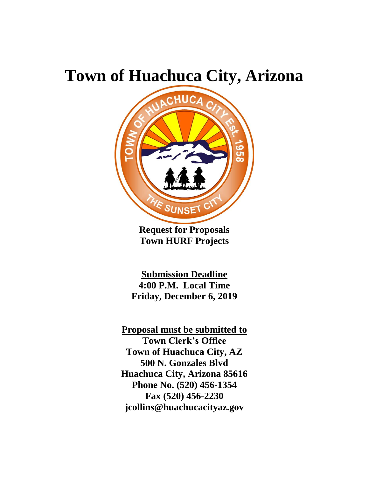# **Town of Huachuca City, Arizona**



**Request for Proposals Town HURF Projects**

**Submission Deadline 4:00 P.M. Local Time Friday, December 6, 2019**

**Proposal must be submitted to Town Clerk's Office Town of Huachuca City, AZ 500 N. Gonzales Blvd Huachuca City, Arizona 85616 Phone No. (520) 456-1354 Fax (520) 456-2230 jcollins@huachucacityaz.gov**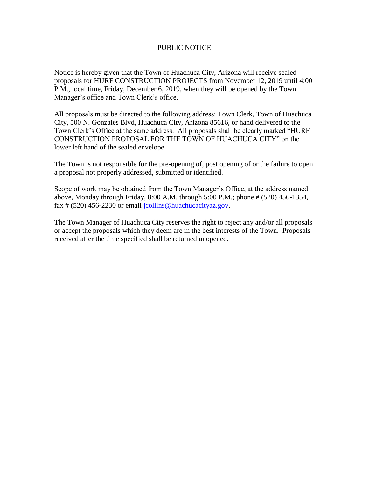#### PUBLIC NOTICE

Notice is hereby given that the Town of Huachuca City, Arizona will receive sealed proposals for HURF CONSTRUCTION PROJECTS from November 12, 2019 until 4:00 P.M., local time, Friday, December 6, 2019, when they will be opened by the Town Manager's office and Town Clerk's office.

All proposals must be directed to the following address: Town Clerk, Town of Huachuca City, 500 N. Gonzales Blvd, Huachuca City, Arizona 85616, or hand delivered to the Town Clerk's Office at the same address. All proposals shall be clearly marked "HURF CONSTRUCTION PROPOSAL FOR THE TOWN OF HUACHUCA CITY" on the lower left hand of the sealed envelope.

The Town is not responsible for the pre-opening of, post opening of or the failure to open a proposal not properly addressed, submitted or identified.

Scope of work may be obtained from the Town Manager's Office, at the address named above, Monday through Friday, 8:00 A.M. through 5:00 P.M.; phone # (520) 456-1354, fax # (520) 456-2230 or email [jcollins@huachucacityaz.gov.](mailto:%20jcollins@huachucacityaz.gov)

The Town Manager of Huachuca City reserves the right to reject any and/or all proposals or accept the proposals which they deem are in the best interests of the Town. Proposals received after the time specified shall be returned unopened.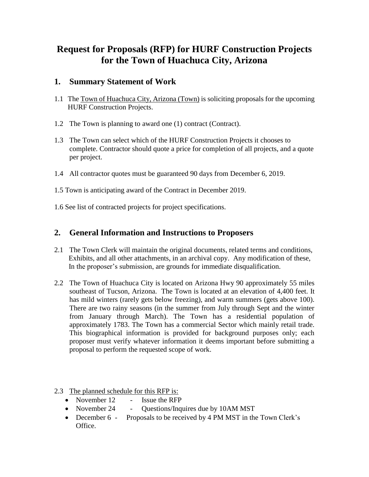## **Request for Proposals (RFP) for HURF Construction Projects for the Town of Huachuca City, Arizona**

## **1. Summary Statement of Work**

- 1.1 The Town of Huachuca City, Arizona (Town) is soliciting proposals for the upcoming HURF Construction Projects.
- 1.2 The Town is planning to award one (1) contract (Contract).
- 1.3 The Town can select which of the HURF Construction Projects it chooses to complete. Contractor should quote a price for completion of all projects, and a quote per project.
- 1.4 All contractor quotes must be guaranteed 90 days from December 6, 2019.
- 1.5 Town is anticipating award of the Contract in December 2019.
- 1.6 See list of contracted projects for project specifications.

## **2. General Information and Instructions to Proposers**

- 2.1 The Town Clerk will maintain the original documents, related terms and conditions, Exhibits, and all other attachments, in an archival copy. Any modification of these, In the proposer's submission, are grounds for immediate disqualification.
- 2.2 The Town of Huachuca City is located on Arizona Hwy 90 approximately 55 miles southeast of Tucson, Arizona. The Town is located at an elevation of 4,400 feet. It has mild winters (rarely gets below freezing), and warm summers (gets above 100). There are two rainy seasons (in the summer from July through Sept and the winter from January through March). The Town has a residential population of approximately 1783. The Town has a commercial Sector which mainly retail trade. This biographical information is provided for background purposes only; each proposer must verify whatever information it deems important before submitting a proposal to perform the requested scope of work.
- 2.3 The planned schedule for this RFP is:
	- November 12 Issue the RFP
	- November 24 Questions/Inquires due by 10AM MST
	- December 6 Proposals to be received by 4 PM MST in the Town Clerk's Office.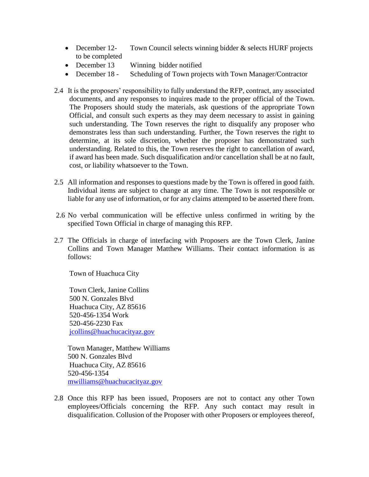- December 12- Town Council selects winning bidder & selects HURF projects to be completed
- December 13 Winning bidder notified
- December 18 Scheduling of Town projects with Town Manager/Contractor
- 2.4 It is the proposers' responsibility to fully understand the RFP, contract, any associated documents, and any responses to inquires made to the proper official of the Town. The Proposers should study the materials, ask questions of the appropriate Town Official, and consult such experts as they may deem necessary to assist in gaining such understanding. The Town reserves the right to disqualify any proposer who demonstrates less than such understanding. Further, the Town reserves the right to determine, at its sole discretion, whether the proposer has demonstrated such understanding. Related to this, the Town reserves the right to cancellation of award, if award has been made. Such disqualification and/or cancellation shall be at no fault, cost, or liability whatsoever to the Town.
- 2.5 All information and responses to questions made by the Town is offered in good faith. Individual items are subject to change at any time. The Town is not responsible or liable for any use of information, or for any claims attempted to be asserted there from.
- 2.6 No verbal communication will be effective unless confirmed in writing by the specified Town Official in charge of managing this RFP.
- 2.7 The Officials in charge of interfacing with Proposers are the Town Clerk, Janine Collins and Town Manager Matthew Williams. Their contact information is as follows:

Town of Huachuca City

Town Clerk, Janine Collins 500 N. Gonzales Blvd Huachuca City, AZ 85616 520-456-1354 Work 520-456-2230 Fax [jcollins@huachucacityaz.gov](mailto:jcollins@huachucacityaz.gov) 

Town Manager, Matthew Williams 500 N. Gonzales Blvd Huachuca City, AZ 85616 520-456-1354 [mwilliams@huachucacityaz.gov](mailto:mwilliams@huachucacityaz.gov) 

2.8 Once this RFP has been issued, Proposers are not to contact any other Town employees/Officials concerning the RFP. Any such contact may result in disqualification. Collusion of the Proposer with other Proposers or employees thereof,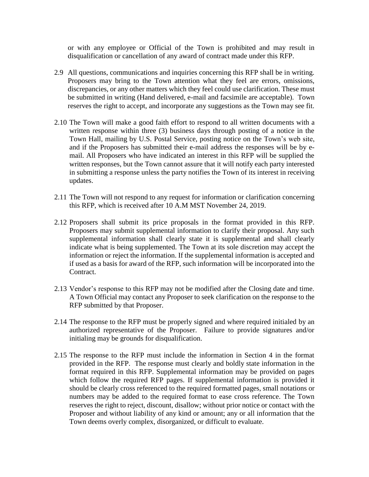or with any employee or Official of the Town is prohibited and may result in disqualification or cancellation of any award of contract made under this RFP.

- 2.9 All questions, communications and inquiries concerning this RFP shall be in writing. Proposers may bring to the Town attention what they feel are errors, omissions, discrepancies, or any other matters which they feel could use clarification. These must be submitted in writing (Hand delivered, e-mail and facsimile are acceptable). Town reserves the right to accept, and incorporate any suggestions as the Town may see fit.
- 2.10 The Town will make a good faith effort to respond to all written documents with a written response within three (3) business days through posting of a notice in the Town Hall, mailing by U.S. Postal Service, posting notice on the Town's web site, and if the Proposers has submitted their e-mail address the responses will be by email. All Proposers who have indicated an interest in this RFP will be supplied the written responses, but the Town cannot assure that it will notify each party interested in submitting a response unless the party notifies the Town of its interest in receiving updates.
- 2.11 The Town will not respond to any request for information or clarification concerning this RFP, which is received after 10 A.M MST November 24, 2019.
- 2.12 Proposers shall submit its price proposals in the format provided in this RFP. Proposers may submit supplemental information to clarify their proposal. Any such supplemental information shall clearly state it is supplemental and shall clearly indicate what is being supplemented. The Town at its sole discretion may accept the information or reject the information. If the supplemental information is accepted and if used as a basis for award of the RFP, such information will be incorporated into the Contract.
- 2.13 Vendor's response to this RFP may not be modified after the Closing date and time. A Town Official may contact any Proposer to seek clarification on the response to the RFP submitted by that Proposer.
- 2.14 The response to the RFP must be properly signed and where required initialed by an authorized representative of the Proposer. Failure to provide signatures and/or initialing may be grounds for disqualification.
- 2.15 The response to the RFP must include the information in Section 4 in the format provided in the RFP. The response must clearly and boldly state information in the format required in this RFP. Supplemental information may be provided on pages which follow the required RFP pages. If supplemental information is provided it should be clearly cross referenced to the required formatted pages, small notations or numbers may be added to the required format to ease cross reference. The Town reserves the right to reject, discount, disallow; without prior notice or contact with the Proposer and without liability of any kind or amount; any or all information that the Town deems overly complex, disorganized, or difficult to evaluate.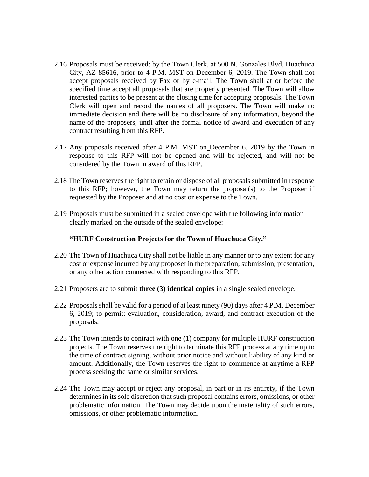- 2.16 Proposals must be received: by the Town Clerk, at 500 N. Gonzales Blvd, Huachuca City, AZ 85616, prior to 4 P.M. MST on December 6, 2019. The Town shall not accept proposals received by Fax or by e-mail. The Town shall at or before the specified time accept all proposals that are properly presented. The Town will allow interested parties to be present at the closing time for accepting proposals. The Town Clerk will open and record the names of all proposers. The Town will make no immediate decision and there will be no disclosure of any information, beyond the name of the proposers, until after the formal notice of award and execution of any contract resulting from this RFP.
- 2.17 Any proposals received after 4 P.M. MST on December 6, 2019 by the Town in response to this RFP will not be opened and will be rejected, and will not be considered by the Town in award of this RFP.
- 2.18 The Town reserves the right to retain or dispose of all proposals submitted in response to this RFP; however, the Town may return the proposal(s) to the Proposer if requested by the Proposer and at no cost or expense to the Town.
- 2.19 Proposals must be submitted in a sealed envelope with the following information clearly marked on the outside of the sealed envelope:

#### **"HURF Construction Projects for the Town of Huachuca City."**

- 2.20 The Town of Huachuca City shall not be liable in any manner or to any extent for any cost or expense incurred by any proposer in the preparation, submission, presentation, or any other action connected with responding to this RFP.
- 2.21 Proposers are to submit **three (3) identical copies** in a single sealed envelope.
- 2.22 Proposals shall be valid for a period of at least ninety (90) days after 4 P.M. December 6, 2019; to permit: evaluation, consideration, award, and contract execution of the proposals.
- 2.23 The Town intends to contract with one (1) company for multiple HURF construction projects. The Town reserves the right to terminate this RFP process at any time up to the time of contract signing, without prior notice and without liability of any kind or amount. Additionally, the Town reserves the right to commence at anytime a RFP process seeking the same or similar services.
- 2.24 The Town may accept or reject any proposal, in part or in its entirety, if the Town determines in its sole discretion that such proposal contains errors, omissions, or other problematic information. The Town may decide upon the materiality of such errors, omissions, or other problematic information.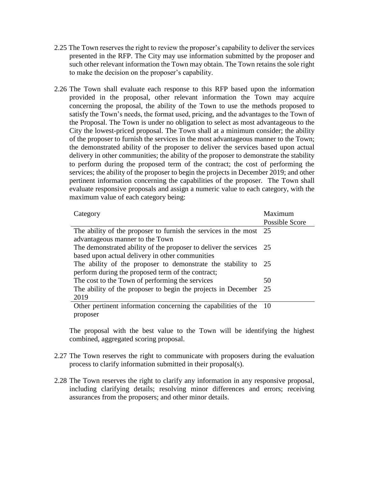- 2.25 The Town reserves the right to review the proposer's capability to deliver the services presented in the RFP. The City may use information submitted by the proposer and such other relevant information the Town may obtain. The Town retains the sole right to make the decision on the proposer's capability.
- 2.26 The Town shall evaluate each response to this RFP based upon the information provided in the proposal, other relevant information the Town may acquire concerning the proposal, the ability of the Town to use the methods proposed to satisfy the Town's needs, the format used, pricing, and the advantages to the Town of the Proposal. The Town is under no obligation to select as most advantageous to the City the lowest-priced proposal. The Town shall at a minimum consider; the ability of the proposer to furnish the services in the most advantageous manner to the Town; the demonstrated ability of the proposer to deliver the services based upon actual delivery in other communities; the ability of the proposer to demonstrate the stability to perform during the proposed term of the contract; the cost of performing the services; the ability of the proposer to begin the projects in December 2019; and other pertinent information concerning the capabilities of the proposer. The Town shall evaluate responsive proposals and assign a numeric value to each category, with the maximum value of each category being:

| Category                                                            | Maximum        |
|---------------------------------------------------------------------|----------------|
|                                                                     | Possible Score |
| The ability of the proposer to furnish the services in the most 25  |                |
| advantageous manner to the Town                                     |                |
| The demonstrated ability of the proposer to deliver the services 25 |                |
| based upon actual delivery in other communities                     |                |
| The ability of the proposer to demonstrate the stability to 25      |                |
| perform during the proposed term of the contract;                   |                |
| The cost to the Town of performing the services                     | 50             |
| The ability of the proposer to begin the projects in December       | - 25           |
| 2019                                                                |                |
| Other pertinent information concerning the capabilities of the 10   |                |
| proposer                                                            |                |

The proposal with the best value to the Town will be identifying the highest combined, aggregated scoring proposal.

- 2.27 The Town reserves the right to communicate with proposers during the evaluation process to clarify information submitted in their proposal(s).
- 2.28 The Town reserves the right to clarify any information in any responsive proposal, including clarifying details; resolving minor differences and errors; receiving assurances from the proposers; and other minor details.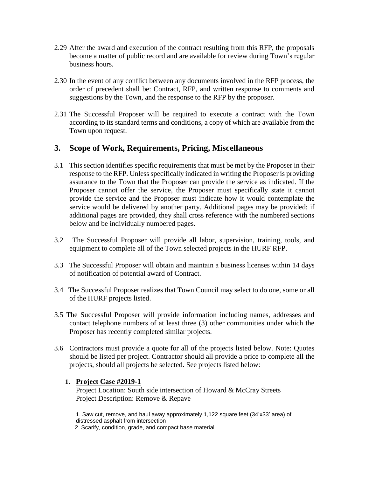- 2.29 After the award and execution of the contract resulting from this RFP, the proposals become a matter of public record and are available for review during Town's regular business hours.
- 2.30 In the event of any conflict between any documents involved in the RFP process, the order of precedent shall be: Contract, RFP, and written response to comments and suggestions by the Town, and the response to the RFP by the proposer.
- 2.31 The Successful Proposer will be required to execute a contract with the Town according to its standard terms and conditions, a copy of which are available from the Town upon request.

## **3. Scope of Work, Requirements, Pricing, Miscellaneous**

- 3.1 This section identifies specific requirements that must be met by the Proposer in their response to the RFP. Unless specifically indicated in writing the Proposer is providing assurance to the Town that the Proposer can provide the service as indicated. If the Proposer cannot offer the service, the Proposer must specifically state it cannot provide the service and the Proposer must indicate how it would contemplate the service would be delivered by another party. Additional pages may be provided; if additional pages are provided, they shall cross reference with the numbered sections below and be individually numbered pages.
- 3.2 The Successful Proposer will provide all labor, supervision, training, tools, and equipment to complete all of the Town selected projects in the HURF RFP.
- 3.3 The Successful Proposer will obtain and maintain a business licenses within 14 days of notification of potential award of Contract.
- 3.4 The Successful Proposer realizes that Town Council may select to do one, some or all of the HURF projects listed.
- 3.5 The Successful Proposer will provide information including names, addresses and contact telephone numbers of at least three (3) other communities under which the Proposer has recently completed similar projects.
- 3.6 Contractors must provide a quote for all of the projects listed below. Note: Quotes should be listed per project. Contractor should all provide a price to complete all the projects, should all projects be selected. See projects listed below:

#### **1. Project Case #2019-1**

Project Location: South side intersection of Howard & McCray Streets Project Description: Remove & Repave

1. Saw cut, remove, and haul away approximately 1,122 square feet (34'x33' area) of distressed asphalt from intersection 2. Scarify, condition, grade, and compact base material.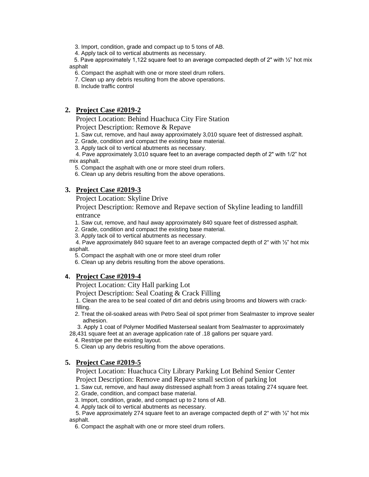3. Import, condition, grade and compact up to 5 tons of AB.

4. Apply tack oil to vertical abutments as necessary.

5. Pave approximately 1,122 square feet to an average compacted depth of 2" with  $\frac{1}{2}$ " hot mix asphalt

6. Compact the asphalt with one or more steel drum rollers.

7. Clean up any debris resulting from the above operations.

8. Include traffic control

#### **2. Project Case #2019-2**

Project Location: Behind Huachuca City Fire Station

Project Description: Remove & Repave

1. Saw cut, remove, and haul away approximately 3,010 square feet of distressed asphalt.

2. Grade, condition and compact the existing base material.

3. Apply tack oil to vertical abutments as necessary.

 4. Pave approximately 3,010 square feet to an average compacted depth of 2" with 1/2" hot mix asphalt.

5. Compact the asphalt with one or more steel drum rollers.

6. Clean up any debris resulting from the above operations.

#### **3. Project Case #2019-3**

Project Location: Skyline Drive

#### Project Description: Remove and Repave section of Skyline leading to landfill entrance

- 1. Saw cut, remove, and haul away approximately 840 square feet of distressed asphalt.
- 2. Grade, condition and compact the existing base material.
- 3. Apply tack oil to vertical abutments as necessary.

 4. Pave approximately 840 square feet to an average compacted depth of 2" with ½" hot mix asphalt.

- 5. Compact the asphalt with one or more steel drum roller
- 6. Clean up any debris resulting from the above operations.

#### **4. Project Case #2019-4**

Project Location: City Hall parking Lot

Project Description: Seal Coating & Crack Filling

1. Clean the area to be seal coated of dirt and debris using brooms and blowers with crackfilling.

 2. Treat the oil-soaked areas with Petro Seal oil spot primer from Sealmaster to improve sealer adhesion.

 3. Apply 1 coat of Polymer Modified Masterseal sealant from Sealmaster to approximately 28,431 square feet at an average application rate of .18 gallons per square yard.

- 4. Restripe per the existing layout.
- 5. Clean up any debris resulting from the above operations.

#### **5. Project Case #2019-5**

Project Location: Huachuca City Library Parking Lot Behind Senior Center Project Description: Remove and Repave small section of parking lot

- 1. Saw cut, remove, and haul away distressed asphalt from 3 areas totaling 274 square feet.
- 2. Grade, condition, and compact base material.

3. Import, condition, grade, and compact up to 2 tons of AB.

4. Apply tack oil to vertical abutments as necessary.

5. Pave approximately 274 square feet to an average compacted depth of  $2"$  with  $\frac{1}{2}$ " hot mix asphalt.

6. Compact the asphalt with one or more steel drum rollers.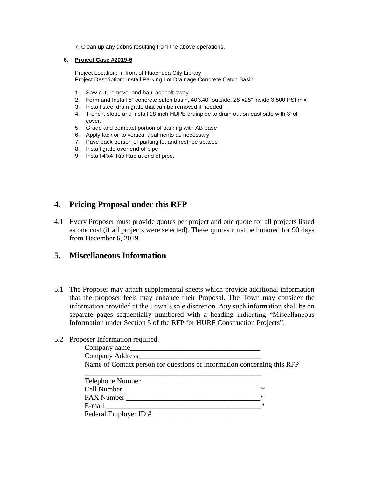7. Clean up any debris resulting from the above operations.

#### **6. Project Case #2019-6**

 Project Location: In front of Huachuca City Library Project Description: Install Parking Lot Drainage Concrete Catch Basin

- 1. Saw cut, remove, and haul asphalt away
- 2. Form and Install 6" concrete catch basin, 40"x40" outside, 28"x28" inside 3,500 PSI mix
- 3. Install steel drain grate that can be removed if needed
- 4. Trench, slope and install 18-inch HDPE drainpipe to drain out on east side with 3' of cover.
- 5. Grade and compact portion of parking with AB base
- 6. Apply tack oil to vertical abutments as necessary
- 7. Pave back portion of parking lot and restripe spaces
- 8. Install grate over end of pipe
- 9. Install 4'x4' Rip Rap at end of pipe.

## **4. Pricing Proposal under this RFP**

4.1 Every Proposer must provide quotes per project and one quote for all projects listed as one cost (if all projects were selected). These quotes must be honored for 90 days from December 6, 2019.

### **5. Miscellaneous Information**

5.1 The Proposer may attach supplemental sheets which provide additional information that the proposer feels may enhance their Proposal. The Town may consider the information provided at the Town's sole discretion. Any such information shall be on separate pages sequentially numbered with a heading indicating "Miscellaneous Information under Section 5 of the RFP for HURF Construction Projects".

#### 5.2 Proposer Information required.

| Company name                                                            |   |  |  |
|-------------------------------------------------------------------------|---|--|--|
|                                                                         |   |  |  |
| Name of Contact person for questions of information concerning this RFP |   |  |  |
|                                                                         |   |  |  |
|                                                                         |   |  |  |
|                                                                         | ∗ |  |  |
| $*$                                                                     |   |  |  |
|                                                                         | ∗ |  |  |
|                                                                         |   |  |  |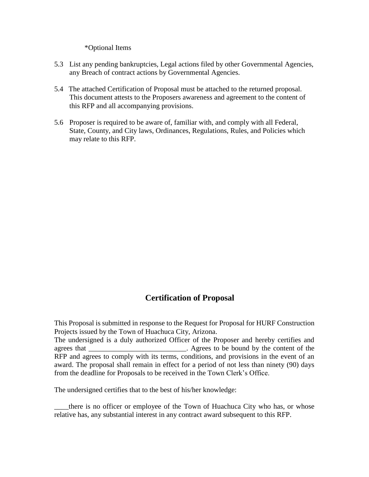\*Optional Items

- 5.3 List any pending bankruptcies, Legal actions filed by other Governmental Agencies, any Breach of contract actions by Governmental Agencies.
- 5.4 The attached Certification of Proposal must be attached to the returned proposal. This document attests to the Proposers awareness and agreement to the content of this RFP and all accompanying provisions.
- 5.6 Proposer is required to be aware of, familiar with, and comply with all Federal, State, County, and City laws, Ordinances, Regulations, Rules, and Policies which may relate to this RFP.

## **Certification of Proposal**

This Proposal is submitted in response to the Request for Proposal for HURF Construction Projects issued by the Town of Huachuca City, Arizona.

The undersigned is a duly authorized Officer of the Proposer and hereby certifies and agrees that **Agrees** to be bound by the content of the RFP and agrees to comply with its terms, conditions, and provisions in the event of an award. The proposal shall remain in effect for a period of not less than ninety (90) days from the deadline for Proposals to be received in the Town Clerk's Office.

The undersigned certifies that to the best of his/her knowledge:

there is no officer or employee of the Town of Huachuca City who has, or whose relative has, any substantial interest in any contract award subsequent to this RFP.